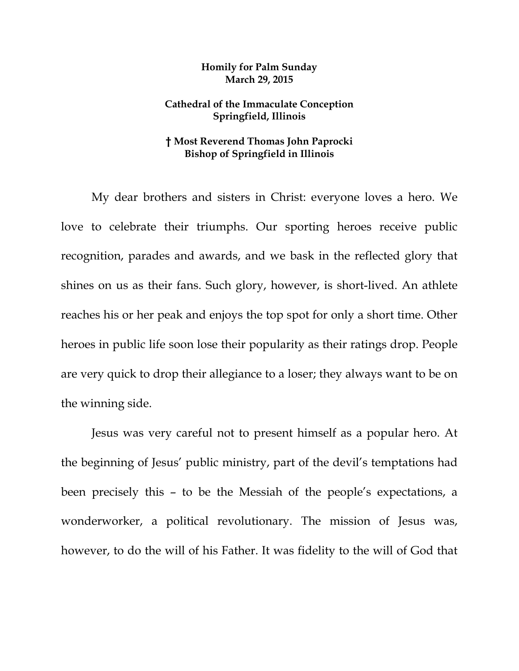## **Homily for Palm Sunday March 29, 2015**

## **Cathedral of the Immaculate Conception Springfield, Illinois**

## **† Most Reverend Thomas John Paprocki Bishop of Springfield in Illinois**

 My dear brothers and sisters in Christ: everyone loves a hero. We love to celebrate their triumphs. Our sporting heroes receive public recognition, parades and awards, and we bask in the reflected glory that shines on us as their fans. Such glory, however, is short-lived. An athlete reaches his or her peak and enjoys the top spot for only a short time. Other heroes in public life soon lose their popularity as their ratings drop. People are very quick to drop their allegiance to a loser; they always want to be on the winning side.

Jesus was very careful not to present himself as a popular hero. At the beginning of Jesus' public ministry, part of the devil's temptations had been precisely this – to be the Messiah of the people's expectations, a wonderworker, a political revolutionary. The mission of Jesus was, however, to do the will of his Father. It was fidelity to the will of God that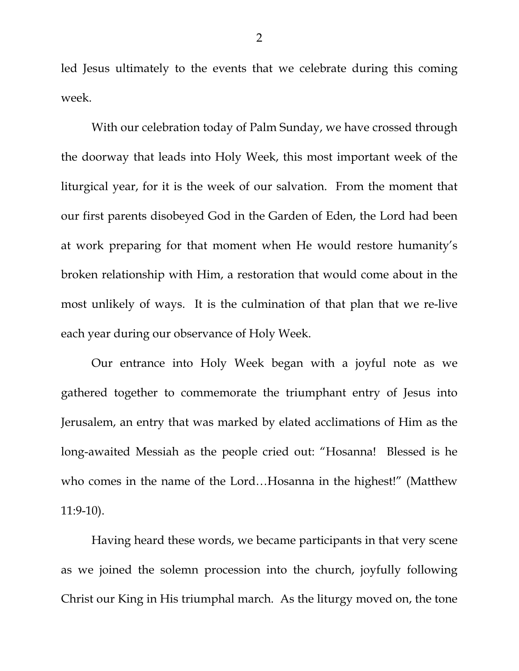led Jesus ultimately to the events that we celebrate during this coming week.

With our celebration today of Palm Sunday, we have crossed through the doorway that leads into Holy Week, this most important week of the liturgical year, for it is the week of our salvation. From the moment that our first parents disobeyed God in the Garden of Eden, the Lord had been at work preparing for that moment when He would restore humanity's broken relationship with Him, a restoration that would come about in the most unlikely of ways. It is the culmination of that plan that we re-live each year during our observance of Holy Week.

 Our entrance into Holy Week began with a joyful note as we gathered together to commemorate the triumphant entry of Jesus into Jerusalem, an entry that was marked by elated acclimations of Him as the long-awaited Messiah as the people cried out: "Hosanna! Blessed is he who comes in the name of the Lord…Hosanna in the highest!" (Matthew 11:9-10).

 Having heard these words, we became participants in that very scene as we joined the solemn procession into the church, joyfully following Christ our King in His triumphal march. As the liturgy moved on, the tone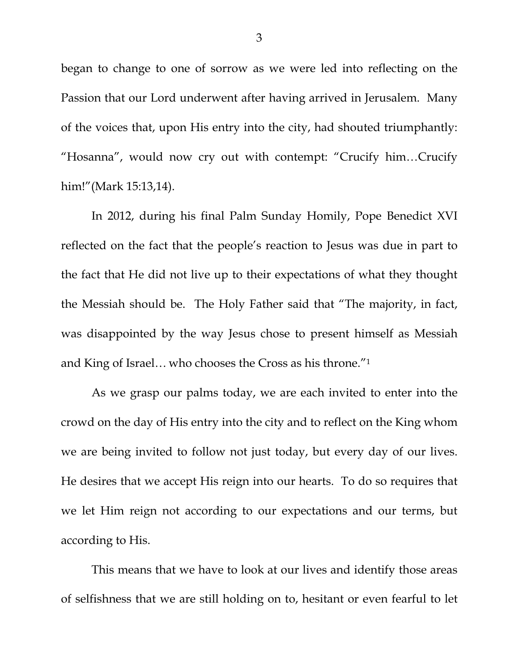began to change to one of sorrow as we were led into reflecting on the Passion that our Lord underwent after having arrived in Jerusalem. Many of the voices that, upon His entry into the city, had shouted triumphantly: "Hosanna", would now cry out with contempt: "Crucify him…Crucify him!"(Mark 15:13,14).

 In 2012, during his final Palm Sunday Homily, Pope Benedict XVI reflected on the fact that the people's reaction to Jesus was due in part to the fact that He did not live up to their expectations of what they thought the Messiah should be. The Holy Father said that "The majority, in fact, was disappointed by the way Jesus chose to present himself as Messiah and King of Israel… who chooses the Cross as his throne."1

 As we grasp our palms today, we are each invited to enter into the crowd on the day of His entry into the city and to reflect on the King whom we are being invited to follow not just today, but every day of our lives. He desires that we accept His reign into our hearts. To do so requires that we let Him reign not according to our expectations and our terms, but according to His.

 This means that we have to look at our lives and identify those areas of selfishness that we are still holding on to, hesitant or even fearful to let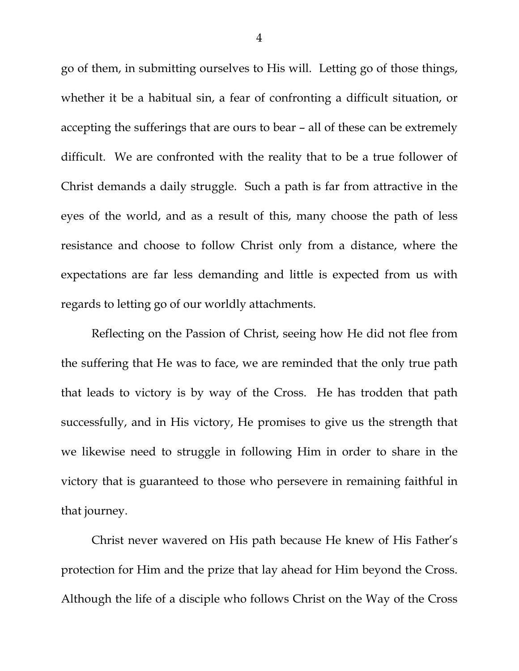go of them, in submitting ourselves to His will. Letting go of those things, whether it be a habitual sin, a fear of confronting a difficult situation, or accepting the sufferings that are ours to bear – all of these can be extremely difficult. We are confronted with the reality that to be a true follower of Christ demands a daily struggle. Such a path is far from attractive in the eyes of the world, and as a result of this, many choose the path of less resistance and choose to follow Christ only from a distance, where the expectations are far less demanding and little is expected from us with regards to letting go of our worldly attachments.

 Reflecting on the Passion of Christ, seeing how He did not flee from the suffering that He was to face, we are reminded that the only true path that leads to victory is by way of the Cross. He has trodden that path successfully, and in His victory, He promises to give us the strength that we likewise need to struggle in following Him in order to share in the victory that is guaranteed to those who persevere in remaining faithful in that journey.

 Christ never wavered on His path because He knew of His Father's protection for Him and the prize that lay ahead for Him beyond the Cross. Although the life of a disciple who follows Christ on the Way of the Cross